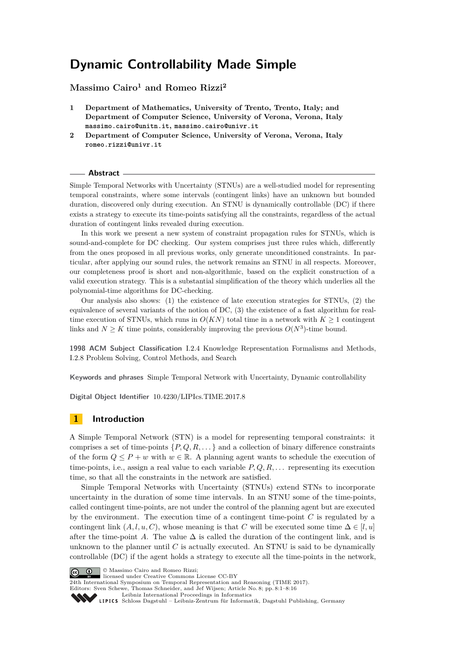# **Dynamic Controllability Made Simple**

**Massimo Cairo<sup>1</sup> and Romeo Rizzi<sup>2</sup>**

- **1 Department of Mathematics, University of Trento, Trento, Italy; and Department of Computer Science, University of Verona, Verona, Italy massimo.cairo@unitn.it, massimo.cairo@univr.it**
- **2 Department of Computer Science, University of Verona, Verona, Italy romeo.rizzi@univr.it**

#### **Abstract**

Simple Temporal Networks with Uncertainty (STNUs) are a well-studied model for representing temporal constraints, where some intervals (contingent links) have an unknown but bounded duration, discovered only during execution. An STNU is dynamically controllable (DC) if there exists a strategy to execute its time-points satisfying all the constraints, regardless of the actual duration of contingent links revealed during execution.

In this work we present a new system of constraint propagation rules for STNUs, which is sound-and-complete for DC checking. Our system comprises just three rules which, differently from the ones proposed in all previous works, only generate unconditioned constraints. In particular, after applying our sound rules, the network remains an STNU in all respects. Moreover, our completeness proof is short and non-algorithmic, based on the explicit construction of a valid execution strategy. This is a substantial simplification of the theory which underlies all the polynomial-time algorithms for DC-checking.

Our analysis also shows: (1) the existence of late execution strategies for STNUs, (2) the equivalence of several variants of the notion of DC, (3) the existence of a fast algorithm for realtime execution of STNUs, which runs in  $O(KN)$  total time in a network with  $K \geq 1$  contingent links and  $N \geq K$  time points, considerably improving the previous  $O(N^3)$ -time bound.

**1998 ACM Subject Classification** I.2.4 Knowledge Representation Formalisms and Methods, I.2.8 Problem Solving, Control Methods, and Search

**Keywords and phrases** Simple Temporal Network with Uncertainty, Dynamic controllability

**Digital Object Identifier** [10.4230/LIPIcs.TIME.2017.8](http://dx.doi.org/10.4230/LIPIcs.TIME.2017.8)

## **1 Introduction**

A Simple Temporal Network (STN) is a model for representing temporal constraints: it comprises a set of time-points  $\{P, Q, R, \dots\}$  and a collection of binary difference constraints of the form  $Q \leq P + w$  with  $w \in \mathbb{R}$ . A planning agent wants to schedule the execution of time-points, i.e., assign a real value to each variable  $P, Q, R, \ldots$  representing its execution time, so that all the constraints in the network are satisfied.

Simple Temporal Networks with Uncertainty (STNUs) extend STNs to incorporate uncertainty in the duration of some time intervals. In an STNU some of the time-points, called contingent time-points, are not under the control of the planning agent but are executed by the environment. The execution time of a contingent time-point *C* is regulated by a contingent link  $(A, l, u, C)$ , whose meaning is that *C* will be executed some time  $\Delta \in [l, u]$ after the time-point *A*. The value  $\Delta$  is called the duration of the contingent link, and is unknown to the planner until *C* is actually executed. An STNU is said to be dynamically controllable (DC) if the agent holds a strategy to execute all the time-points in the network,



licensed under Creative Commons License CC-BY

24th International Symposium on Temporal Representation and Reasoning (TIME 2017).

Editors: Sven Schewe, Thomas Schneider, and Jef Wijsen; Article No. 8; pp. 8:1–8[:16](#page-15-0)

[Leibniz International Proceedings in Informatics](http://www.dagstuhl.de/lipics/)

## [Schloss Dagstuhl – Leibniz-Zentrum für Informatik, Dagstuhl Publishing, Germany](http://www.dagstuhl.de)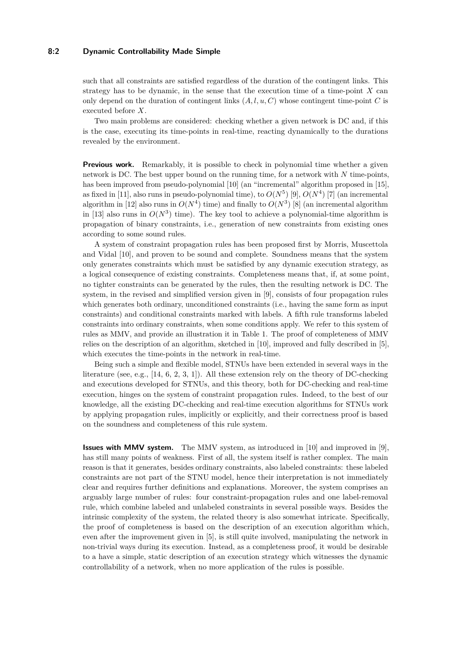#### **8:2 Dynamic Controllability Made Simple**

such that all constraints are satisfied regardless of the duration of the contingent links. This strategy has to be dynamic, in the sense that the execution time of a time-point *X* can only depend on the duration of contingent links  $(A, l, u, C)$  whose contingent time-point C is executed before *X*.

Two main problems are considered: checking whether a given network is DC and, if this is the case, executing its time-points in real-time, reacting dynamically to the durations revealed by the environment.

Previous work. Remarkably, it is possible to check in polynomial time whether a given network is DC. The best upper bound on the running time, for a network with *N* time-points, has been improved from pseudo-polynomial [\[10\]](#page-15-1) (an "incremental" algorithm proposed in [\[15\]](#page-15-2), as fixed in [\[11\]](#page-15-3), also runs in pseudo-polynomial time), to  $O(N^5)$  [\[9\]](#page-15-4),  $O(N^4)$  [\[7\]](#page-14-0) (an incremental algorithm in [\[12\]](#page-15-5) also runs in  $O(N^4)$  time) and finally to  $O(N^3)$  [\[8\]](#page-15-6) (an incremental algorithm in [\[13\]](#page-15-7) also runs in  $O(N^3)$  time). The key tool to achieve a polynomial-time algorithm is propagation of binary constraints, i.e., generation of new constraints from existing ones according to some sound rules.

A system of constraint propagation rules has been proposed first by Morris, Muscettola and Vidal [\[10\]](#page-15-1), and proven to be sound and complete. Soundness means that the system only generates constraints which must be satisfied by any dynamic execution strategy, as a logical consequence of existing constraints. Completeness means that, if, at some point, no tighter constraints can be generated by the rules, then the resulting network is DC. The system, in the revised and simplified version given in [\[9\]](#page-15-4), consists of four propagation rules which generates both ordinary, unconditioned constraints (i.e., having the same form as input constraints) and conditional constraints marked with labels. A fifth rule transforms labeled constraints into ordinary constraints, when some conditions apply. We refer to this system of rules as MMV, and provide an illustration it in Table [1.](#page-2-0) The proof of completeness of MMV relies on the description of an algorithm, sketched in [\[10\]](#page-15-1), improved and fully described in [\[5\]](#page-14-1), which executes the time-points in the network in real-time.

Being such a simple and flexible model, STNUs have been extended in several ways in the literature (see, e.g., [\[14,](#page-15-8) [6,](#page-14-2) [2,](#page-14-3) [3,](#page-14-4) [1\]](#page-14-5)). All these extension rely on the theory of DC-checking and executions developed for STNUs, and this theory, both for DC-checking and real-time execution, hinges on the system of constraint propagation rules. Indeed, to the best of our knowledge, all the existing DC-checking and real-time execution algorithms for STNUs work by applying propagation rules, implicitly or explicitly, and their correctness proof is based on the soundness and completeness of this rule system.

**Issues with MMV system.** The MMV system, as introduced in [\[10\]](#page-15-1) and improved in [\[9\]](#page-15-4), has still many points of weakness. First of all, the system itself is rather complex. The main reason is that it generates, besides ordinary constraints, also labeled constraints: these labeled constraints are not part of the STNU model, hence their interpretation is not immediately clear and requires further definitions and explanations. Moreover, the system comprises an arguably large number of rules: four constraint-propagation rules and one label-removal rule, which combine labeled and unlabeled constraints in several possible ways. Besides the intrinsic complexity of the system, the related theory is also somewhat intricate. Specifically, the proof of completeness is based on the description of an execution algorithm which, even after the improvement given in [\[5\]](#page-14-1), is still quite involved, manipulating the network in non-trivial ways during its execution. Instead, as a completeness proof, it would be desirable to a have a simple, static description of an execution strategy which witnesses the dynamic controllability of a network, when no more application of the rules is possible.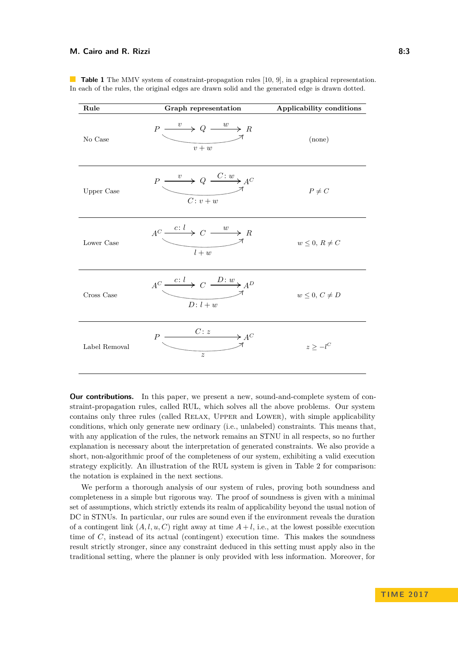#### **M. Cairo and R. Rizzi 8:3**

| Rule          | Graph representation                                                                            | Applicability conditions |
|---------------|-------------------------------------------------------------------------------------------------|--------------------------|
| No Case       | $P \xrightarrow{v} Q \xrightarrow{w} R$<br>$v + w$                                              | $(\text{none})$          |
| Upper Case    | $P \xrightarrow{v} Q \xrightarrow{C:w} A^C$<br>$C: v + w$                                       | $P \neq C$               |
| Lower Case    | $A^C \xrightarrow{c: l} C \xrightarrow{w} R$<br>$l + w$                                         | $w \leq 0, R \neq C$     |
| Cross Case    | $A^C \xrightarrow{c:l} C \xrightarrow{D:w} A^D$<br>$D: l + w$                                   | $w \leq 0, C \neq D$     |
| Label Removal | C: z<br>$\longrightarrow A^C$<br>$\boldsymbol{P}$<br>$\mathcal{A}$<br>$\widetilde{\mathcal{Z}}$ | $z \geq -l^C$            |

<span id="page-2-0"></span>**Table 1** The MMV system of constraint-propagation rules [\[10,](#page-15-1) [9\]](#page-15-4), in a graphical representation. In each of the rules, the original edges are drawn solid and the generated edge is drawn dotted.

**Our contributions.** In this paper, we present a new, sound-and-complete system of constraint-propagation rules, called RUL, which solves all the above problems. Our system contains only three rules (called RELAX, UPPER and LOWER), with simple applicability conditions, which only generate new ordinary (i.e., unlabeled) constraints. This means that, with any application of the rules, the network remains an STNU in all respects, so no further explanation is necessary about the interpretation of generated constraints. We also provide a short, non-algorithmic proof of the completeness of our system, exhibiting a valid execution strategy explicitly. An illustration of the RUL system is given in Table [2](#page-3-0) for comparison: the notation is explained in the next sections.

We perform a thorough analysis of our system of rules, proving both soundness and completeness in a simple but rigorous way. The proof of soundness is given with a minimal set of assumptions, which strictly extends its realm of applicability beyond the usual notion of DC in STNUs. In particular, our rules are sound even if the environment reveals the duration of a contingent link  $(A, l, u, C)$  right away at time  $A + l$ , i.e., at the lowest possible execution time of *C*, instead of its actual (contingent) execution time. This makes the soundness result strictly stronger, since any constraint deduced in this setting must apply also in the traditional setting, where the planner is only provided with less information. Moreover, for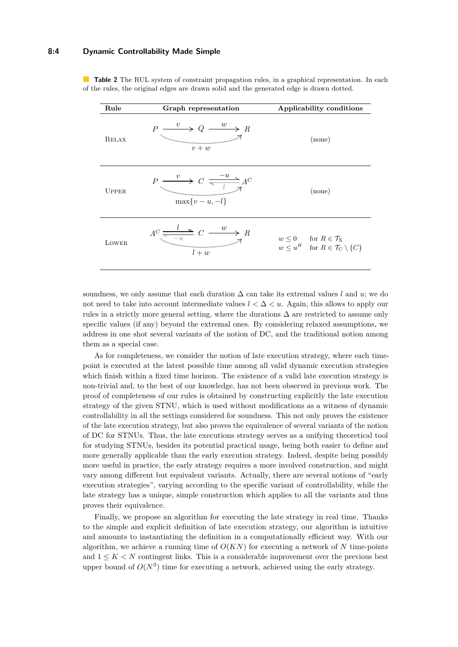#### **8:4 Dynamic Controllability Made Simple**

<span id="page-3-0"></span>**Table 2** The RUL system of constraint propagation rules, in a graphical representation. In each of the rules, the original edges are drawn solid and the generated edge is drawn dotted.

| Rule         | Graph representation                                                                                  | Applicability conditions                                                                       |
|--------------|-------------------------------------------------------------------------------------------------------|------------------------------------------------------------------------------------------------|
| <b>RELAX</b> | $\rightarrow Q \longrightarrow R$<br>$\boldsymbol{P}$<br>$v + w$                                      | (none)                                                                                         |
| <b>UPPER</b> | $\frac{v}{\sqrt{u}}$ > $C \frac{-u}{\sqrt{u}}$ $A^C$<br>Р<br>$\sim$ $\sim$ $\sim$<br>$\max\{v-u,-l\}$ | (none)                                                                                         |
| LOWER        | $A^C \xrightarrow{l} C \xrightarrow{w} R$<br>$l + w$                                                  | $w \leq 0$ for $R \in \mathcal{T}_X$<br>$w \leq u^R$ for $R \in \mathcal{T}_C \setminus \{C\}$ |

soundness, we only assume that each duration  $\Delta$  can take its extremal values *l* and *u*; we do not need to take into account intermediate values  $l < \Delta < u$ . Again, this allows to apply our rules in a strictly more general setting, where the durations  $\Delta$  are restricted to assume only specific values (if any) beyond the extremal ones. By considering relaxed assumptions, we address in one shot several variants of the notion of DC, and the traditional notion among them as a special case.

As for completeness, we consider the notion of late execution strategy, where each timepoint is executed at the latest possible time among all valid dynamic execution strategies which finish within a fixed time horizon. The existence of a valid late execution strategy is non-trivial and, to the best of our knowledge, has not been observed in previous work. The proof of completeness of our rules is obtained by constructing explicitly the late execution strategy of the given STNU, which is used without modifications as a witness of dynamic controllability in all the settings considered for soundness. This not only proves the existence of the late execution strategy, but also proves the equivalence of several variants of the notion of DC for STNUs. Thus, the late executions strategy serves as a unifying theoretical tool for studying STNUs, besides its potential practical usage, being both easier to define and more generally applicable than the early execution strategy. Indeed, despite being possibly more useful in practice, the early strategy requires a more involved construction, and might vary among different but equivalent variants. Actually, there are several notions of "early execution strategies", varying according to the specific variant of controllability, while the late strategy has a unique, simple construction which applies to all the variants and thus proves their equivalence.

Finally, we propose an algorithm for executing the late strategy in real time. Thanks to the simple and explicit definition of late execution strategy, our algorithm is intuitive and amounts to instantiating the definition in a computationally efficient way. With our algorithm, we achieve a running time of  $O(KN)$  for executing a network of N time-points and  $1 \leq K \leq N$  contingent links. This is a considerable improvement over the previous best upper bound of  $O(N^3)$  time for executing a network, achieved using the early strategy.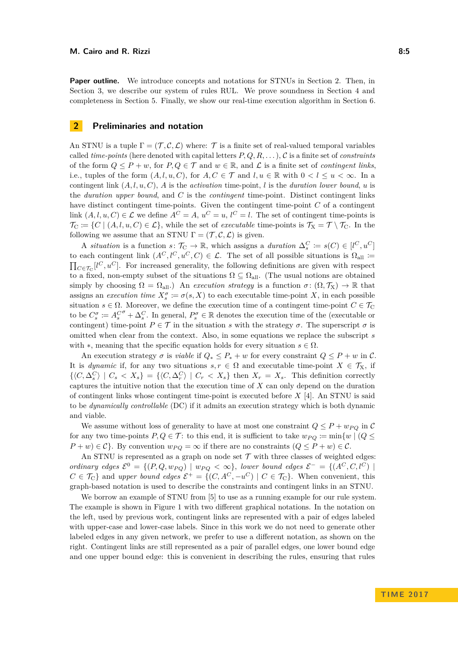**Paper outline.** We introduce concepts and notations for STNUs in Section [2.](#page-4-0) Then, in Section [3,](#page-5-0) we describe our system of rules RUL. We prove soundness in Section [4](#page-6-0) and completeness in Section [5.](#page-8-0) Finally, we show our real-time execution algorithm in Section [6.](#page-13-0)

## <span id="page-4-0"></span>**2 Preliminaries and notation**

An STNU is a tuple  $\Gamma = (\mathcal{T}, \mathcal{C}, \mathcal{L})$  where:  $\mathcal{T}$  is a finite set of real-valued temporal variables called *time-points* (here denoted with capital letters *P, Q, R, . . .*), C is a finite set of *constraints* of the form  $Q \leq P + w$ , for  $P, Q \in \mathcal{T}$  and  $w \in \mathbb{R}$ , and  $\mathcal{L}$  is a finite set of *contingent links*. i.e., tuples of the form  $(A, l, u, C)$ , for  $A, C \in \mathcal{T}$  and  $l, u \in \mathbb{R}$  with  $0 < l \leq u < \infty$ . In a contingent link (*A, l, u, C*), *A* is the *activation* time-point, *l* is the *duration lower bound*, *u* is the *duration upper bound*, and *C* is the *contingent* time-point. Distinct contingent links have distinct contingent time-points. Given the contingent time-point *C* of a contingent link  $(A, l, u, C) \in \mathcal{L}$  we define  $A^C = A$ ,  $u^C = u$ ,  $l^C = l$ . The set of contingent time-points is  $\mathcal{T}_{\mathbf{C}} \coloneqq \{C \mid (A, l, u, C) \in \mathcal{L}\},\$  while the set of *executable* time-points is  $\mathcal{T}_{\mathbf{X}} = \mathcal{T} \setminus \mathcal{T}_{\mathbf{C}}.$  In the following we assume that an STNU  $\Gamma = (\mathcal{T}, \mathcal{C}, \mathcal{L})$  is given.

A *situation* is a function *s*:  $\mathcal{T}_{C} \to \mathbb{R}$ , which assigns a *duration*  $\Delta_s^C := s(C) \in [l^C, u^C]$ to each contingent link  $(A^C, l^C, u^C, C) \in \mathcal{L}$ . The set of all possible situations is  $\Omega_{\text{all}} \coloneqq$  $\prod_{C \in \mathcal{T}_C} [l^C, u^C]$ . For increased generality, the following definitions are given with respect to a fixed, non-empty subset of the situations  $\Omega \subseteq \Omega_{\text{all}}$ . (The usual notions are obtained simply by choosing  $\Omega = \Omega_{all}$ .) An *execution strategy* is a function  $\sigma: (\Omega, \mathcal{T}_{X}) \to \mathbb{R}$  that assigns an *execution time*  $X_s^{\sigma} := \sigma(s, X)$  to each executable time-point X, in each possible situation  $s \in \Omega$ . Moreover, we define the execution time of a contingent time-point  $C \in \mathcal{T}_{\Omega}$ to be  $C_s^{\sigma} \coloneqq A_s^C$  $\sigma$  +  $\Delta_s^C$ . In general,  $P_s^{\sigma} \in \mathbb{R}$  denotes the execution time of the (executable or contingent) time-point  $P \in \mathcal{T}$  in the situation *s* with the strategy  $\sigma$ . The superscript  $\sigma$  is omitted when clear from the context. Also, in some equations we replace the subscript *s* with  $*$ , meaning that the specific equation holds for every situation  $s \in \Omega$ .

An execution strategy  $\sigma$  is *viable* if  $Q_* \leq P_* + w$  for every constraint  $Q \leq P + w$  in C. It is *dynamic* if, for any two situations  $s, r \in \Omega$  and executable time-point  $X \in \mathcal{T}_X$ , if  $\{\langle C, \Delta_s^C \rangle \mid C_s < X_s\} = \{\langle C, \Delta_r^C \rangle \mid C_r < X_s\}$  then  $X_r = X_s$ . This definition correctly captures the intuitive notion that the execution time of *X* can only depend on the duration of contingent links whose contingent time-point is executed before *X* [\[4\]](#page-14-6). An STNU is said to be *dynamically controllable* (DC) if it admits an execution strategy which is both dynamic and viable.

We assume without loss of generality to have at most one constraint  $Q \leq P + w_{PQ}$  in C for any two time-points  $P, Q \in \mathcal{T}$ : to this end, it is sufficient to take  $w_{PO} := \min\{w \mid (Q \leq \mathcal{T}^2) \}$  $P + w \in \mathcal{C}$ . By convention  $w_{PQ} = \infty$  if there are no constraints  $(Q \leq P + w) \in \mathcal{C}$ .

An STNU is represented as a graph on node set  $\mathcal T$  with three classes of weighted edges: *ordinary edges*  $\mathcal{E}^0 = \{ (P, Q, w_{PQ}) \mid w_{PQ} < \infty \}$ , *lower bound edges*  $\mathcal{E}^- = \{ (A^C, C, l^C) \mid w_{PQ} \leq w_{PQ} \}$  $C \in \mathcal{T}_{\mathcal{C}}$  and *upper bound edges*  $\mathcal{E}^+ = \{ (C, A^C, -u^C) \mid C \in \mathcal{T}_{\mathcal{C}} \}$ . When convenient, this graph-based notation is used to describe the constraints and contingent links in an STNU.

We borrow an example of STNU from [\[5\]](#page-14-1) to use as a running example for our rule system. The example is shown in Figure [1](#page-5-1) with two different graphical notations. In the notation on the left, used by previous work, contingent links are represented with a pair of edges labeled with upper-case and lower-case labels. Since in this work we do not need to generate other labeled edges in any given network, we prefer to use a different notation, as shown on the right. Contingent links are still represented as a pair of parallel edges, one lower bound edge and one upper bound edge: this is convenient in describing the rules, ensuring that rules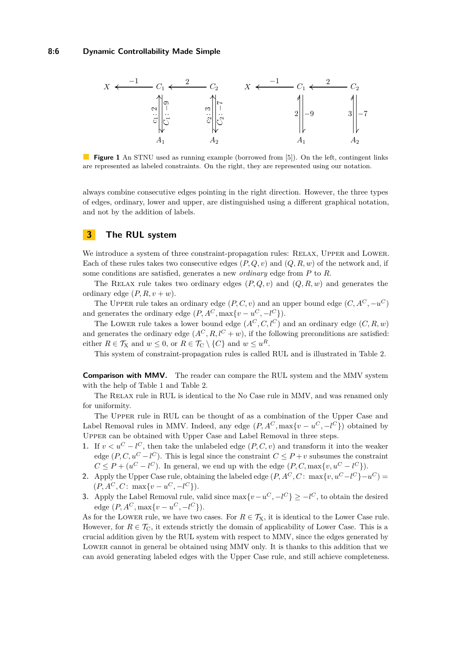<span id="page-5-1"></span>

**Figure 1** An STNU used as running example (borrowed from [\[5\]](#page-14-1)). On the left, contingent links are represented as labeled constraints. On the right, they are represented using our notation.

always combine consecutive edges pointing in the right direction. However, the three types of edges, ordinary, lower and upper, are distinguished using a different graphical notation, and not by the addition of labels.

## <span id="page-5-0"></span>**3 The RUL system**

We introduce a system of three constraint-propagation rules: RELAX, UPPER and LOWER. Each of these rules takes two consecutive edges  $(P, Q, v)$  and  $(Q, R, w)$  of the network and, if some conditions are satisfied, generates a new *ordinary* edge from *P* to *R*.

The RELAX rule takes two ordinary edges  $(P,Q,v)$  and  $(Q,R,w)$  and generates the ordinary edge  $(P, R, v + w)$ .

The UPPER rule takes an ordinary edge  $(P, C, v)$  and an upper bound edge  $(C, A^C, -u^C)$ and generates the ordinary edge  $(P, A^C, \max\{v - u^C, -l^C\})$ .

The LOWER rule takes a lower bound edge  $(A^C, C, l^C)$  and an ordinary edge  $(C, R, w)$ and generates the ordinary edge  $(A^C, R, l^C + w)$ , if the following preconditions are satisfied: either  $R \in \mathcal{T}_{\mathbf{X}}$  and  $w \leq 0$ , or  $R \in \mathcal{T}_{\mathbf{C}} \setminus \{C\}$  and  $w \leq u^R$ .

This system of constraint-propagation rules is called RUL and is illustrated in Table [2.](#page-3-0)

**Comparison with MMV.** The reader can compare the RUL system and the MMV system with the help of Table [1](#page-2-0) and Table [2.](#page-3-0)

The Relax rule in RUL is identical to the No Case rule in MMV, and was renamed only for uniformity.

The Upper rule in RUL can be thought of as a combination of the Upper Case and Label Removal rules in MMV. Indeed, any edge  $(P, A^C, \max\{v - u^C, -l^C\})$  obtained by Upper can be obtained with Upper Case and Label Removal in three steps.

- **1.** If  $v < u^C l^C$ , then take the unlabeled edge  $(P, C, v)$  and transform it into the weaker edge  $(P, C, u^C - l^C)$ . This is legal since the constraint  $C \leq P + v$  subsumes the constraint  $C \leq P + (u^C - l^C)$ . In general, we end up with the edge  $(P, C, \max\{v, u^C - l^C\})$ .
- **2.** Apply the Upper Case rule, obtaining the labeled edge  $(P, A^C, C: \max\{v, u^C l^C\} u^C)$  $(P, A^C, C: \max\{v - u^C, -l^C\}).$
- **3.** Apply the Label Removal rule, valid since  $\max\{v u^C, -l^C\} \ge -l^C$ , to obtain the desired  $\text{edge } (P, A^C, \max\{v - u^C, -l^C\}).$

As for the Lower, rule, we have two cases. For  $R \in \mathcal{T}_{\mathbf{X}}$ , it is identical to the Lower Case rule. However, for  $R \in \mathcal{T}_C$ , it extends strictly the domain of applicability of Lower Case. This is a crucial addition given by the RUL system with respect to MMV, since the edges generated by LOWER cannot in general be obtained using MMV only. It is thanks to this addition that we can avoid generating labeled edges with the Upper Case rule, and still achieve completeness.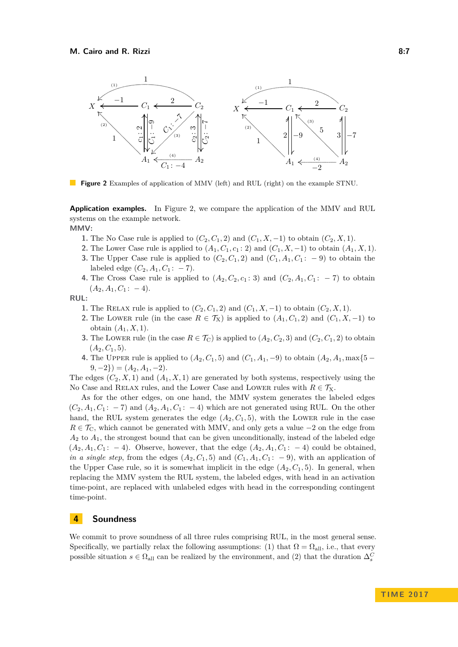<span id="page-6-1"></span>

**Figure 2** Examples of application of MMV (left) and RUL (right) on the example STNU.

**Application examples.** In Figure [2,](#page-6-1) we compare the application of the MMV and RUL systems on the example network.

**MMV:**

- **1.** The No Case rule is applied to  $(C_2, C_1, 2)$  and  $(C_1, X, -1)$  to obtain  $(C_2, X, 1)$ .
- **2.** The Lower Case rule is applied to  $(A_1, C_1, c_1 : 2)$  and  $(C_1, X, -1)$  to obtain  $(A_1, X, 1)$ .
- **3.** The Upper Case rule is applied to  $(C_2, C_1, 2)$  and  $(C_1, A_1, C_1: -9)$  to obtain the labeled edge  $(C_2, A_1, C_1: -7)$ .
- **4.** The Cross Case rule is applied to  $(A_2, C_2, c_1 : 3)$  and  $(C_2, A_1, C_1 : -7)$  to obtain  $(A_2, A_1, C_1: -4).$

**RUL:**

- **1.** The RELAX rule is applied to  $(C_2, C_1, 2)$  and  $(C_1, X, -1)$  to obtain  $(C_2, X, 1)$ .
- **2.** The LOWER rule (in the case  $R \in \mathcal{T}_X$ ) is applied to  $(A_1, C_1, 2)$  and  $(C_1, X, -1)$  to obtain  $(A_1, X, 1)$ .
- **3.** The LOWER rule (in the case  $R \in \mathcal{T}_C$ ) is applied to  $(A_2, C_2, 3)$  and  $(C_2, C_1, 2)$  to obtain  $(A_2, C_1, 5).$
- **4.** The UPPER rule is applied to  $(A_2, C_1, 5)$  and  $(C_1, A_1, -9)$  to obtain  $(A_2, A_1, \max\{5 (9, -2)$ ) =  $(A_2, A_1, -2)$ .

The edges  $(C_2, X, 1)$  and  $(A_1, X, 1)$  are generated by both systems, respectively using the No Case and RELAX rules, and the Lower Case and LOWER rules with  $R \in \mathcal{T}_X$ .

As for the other edges, on one hand, the MMV system generates the labeled edges  $(C_2, A_1, C_1: -7$  and  $(A_2, A_1, C_1: -4)$  which are not generated using RUL. On the other hand, the RUL system generates the edge  $(A_2, C_1, 5)$ , with the LOWER rule in the case  $R \in \mathcal{T}_C$ , which cannot be generated with MMV, and only gets a value  $-2$  on the edge from  $A_2$  to  $A_1$ , the strongest bound that can be given unconditionally, instead of the labeled edge  $(A_2, A_1, C_1: -4)$ . Observe, however, that the edge  $(A_2, A_1, C_1: -4)$  could be obtained, *in a single step*, from the edges  $(A_2, C_1, 5)$  and  $(C_1, A_1, C_1: -9)$ , with an application of the Upper Case rule, so it is somewhat implicit in the edge  $(A_2, C_1, 5)$ . In general, when replacing the MMV system the RUL system, the labeled edges, with head in an activation time-point, are replaced with unlabeled edges with head in the corresponding contingent time-point.

## <span id="page-6-0"></span>**4 Soundness**

We commit to prove soundness of all three rules comprising RUL, in the most general sense. Specifically, we partially relax the following assumptions: (1) that  $\Omega = \Omega_{\text{all}}$ , i.e., that every possible situation  $s \in \Omega$ <sub>all</sub> can be realized by the environment, and (2) that the duration  $\Delta_s^C$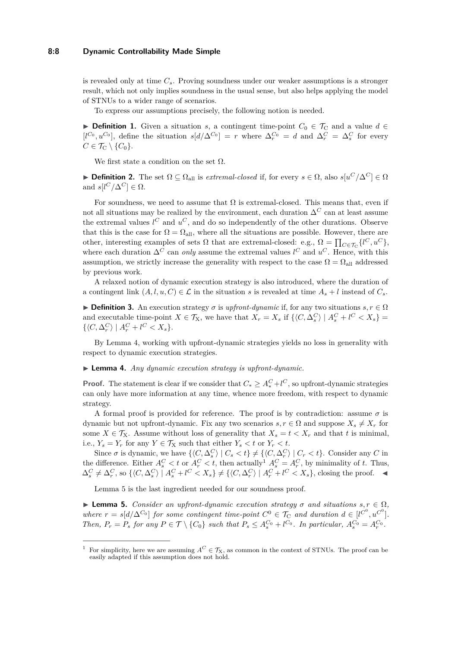#### **8:8 Dynamic Controllability Made Simple**

is revealed only at time *Cs*. Proving soundness under our weaker assumptions is a stronger result, which not only implies soundness in the usual sense, but also helps applying the model of STNUs to a wider range of scenarios.

To express our assumptions precisely, the following notion is needed.

**Definition 1.** Given a situation *s*, a contingent time-point  $C_0 \in \mathcal{T}_C$  and a value  $d \in$  $[l^{C_0}, u^{C_0}]$ , define the situation  $s[d/\Delta^{C_0}] = r$  where  $\Delta_r^{C_0} = d$  and  $\Delta_r^C = \Delta_s^C$  for every  $C \in \mathcal{T}_{\mathcal{C}} \setminus \{C_0\}.$ 

We first state a condition on the set  $\Omega$ .

 $\triangleright$  **Definition 2.** The set  $\Omega \subseteq \Omega_{all}$  is *extremal-closed* if, for every *s* ∈ Ω, also *s*[ $u^C / \Delta^C$ ] ∈ Ω and  $s[l^C/\Delta^C] \in \Omega$ .

For soundness, we need to assume that  $\Omega$  is extremal-closed. This means that, even if not all situations may be realized by the environment, each duration  $\Delta^C$  can at least assume the extremal values  $l^C$  and  $u^C$ , and do so independently of the other durations. Observe that this is the case for  $\Omega = \Omega_{\text{all}}$ , where all the situations are possible. However, there are other, interesting examples of sets  $\Omega$  that are extremal-closed: e.g.,  $\Omega = \prod_{C \in \mathcal{T}_C} \{l^C, u^C\}$ , where each duration  $\Delta^C$  can *only* assume the extremal values  $l^C$  and  $u^C$ . Hence, with this assumption, we strictly increase the generality with respect to the case  $\Omega = \Omega_{\text{all}}$  addressed by previous work.

A relaxed notion of dynamic execution strategy is also introduced, where the duration of a contingent link  $(A, l, u, C) \in \mathcal{L}$  in the situation *s* is revealed at time  $A_s + l$  instead of  $C_s$ .

<span id="page-7-3"></span>**Definition 3.** An execution strategy  $\sigma$  is *upfront-dynamic* if, for any two situations  $s, r \in \Omega$ and executable time-point  $X \in \mathcal{T}_X$ , we have that  $X_r = X_s$  if  $\{\langle C, \Delta_s^C \rangle \mid A_s^C + l^C < X_s\}$  $\{\langle C, \Delta_r^C \rangle \mid A_r^C + l^C < X_s\}.$ 

By Lemma [4,](#page-7-0) working with upfront-dynamic strategies yields no loss in generality with respect to dynamic execution strategies.

<span id="page-7-0"></span>I **Lemma 4.** *Any dynamic execution strategy is upfront-dynamic.*

**Proof.** The statement is clear if we consider that  $C_* \geq A_*^C + l^C$ , so upfront-dynamic strategies can only have more information at any time, whence more freedom, with respect to dynamic strategy.

A formal proof is provided for reference. The proof is by contradiction: assume  $\sigma$  is dynamic but not upfront-dynamic. Fix any two scenarios  $s, r \in \Omega$  and suppose  $X_s \neq X_r$  for some  $X \in \mathcal{T}_X$ . Assume without loss of generality that  $X_s = t \langle X_r \rangle$  and that *t* is minimal, i.e.,  $Y_s = Y_r$  for any  $Y \in \mathcal{T}_X$  such that either  $Y_s < t$  or  $Y_r < t$ .

Since  $\sigma$  is dynamic, we have  $\{ \langle C, \Delta_s^C \rangle \mid C_s < t \} \neq \{ \langle C, \Delta_r^C \rangle \mid C_r < t \}.$  Consider any  $C$  in the difference. Either  $A_s^C < t$  or  $A_r^C < t$ , then actually  $A_s^C = A_r^C$ , by minimality of t. Thus,  $\Delta_s^C \neq \Delta_r^C$ , so  $\{ \langle C, \Delta_s^C \rangle \mid A_s^C + l^C < X_s \} \neq \{ \langle C, \Delta_r^C \rangle \mid A_r^C + l^C < X_s \}$ , closing the proof.

Lemma [5](#page-7-2) is the last ingredient needed for our soundness proof.

<span id="page-7-2"></span>**Lemma 5.** *Consider an upfront-dynamic execution strategy*  $\sigma$  *and situations*  $s, r \in \Omega$ *, where*  $r = s[d/\Delta^{C_0}]$  *for some contingent time-point*  $C^0 \in \mathcal{T}_C$  *and duration*  $d \in [l^{C^0}, u^{C^0}]$ *.* Then,  $P_r = P_s$  for any  $P \in \mathcal{T} \setminus \{C_0\}$  such that  $P_s \leq A_s^{C_0} + l^{C_0}$ . In particular,  $A_s^{C_0} = A_r^{C_0}$ .

<span id="page-7-1"></span><sup>&</sup>lt;sup>1</sup> For simplicity, here we are assuming  $A^C \in \mathcal{T}_X$ , as common in the context of STNUs. The proof can be easily adapted if this assumption does not hold.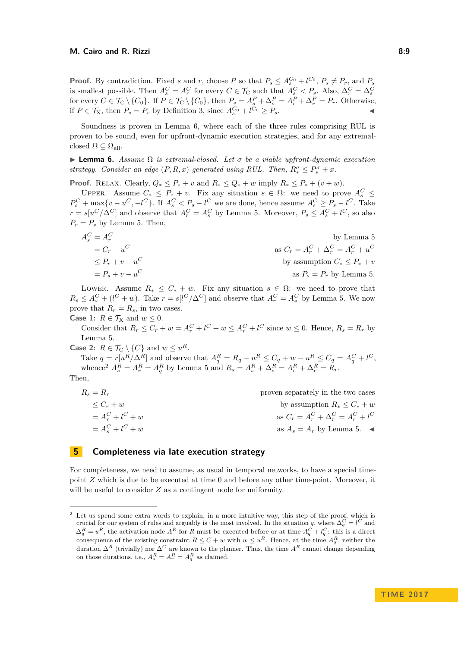**Proof.** By contradiction. Fixed *s* and *r*, choose *P* so that  $P_s \leq A_s^{C_0} + l^{C_0}, P_s \neq P_r$ , and  $P_s$ is smallest possible. Then  $A_s^C = A_r^C$  for every  $C \in \mathcal{T}_{\text{C}}$  such that  $A_s^C < P_s$ . Also,  $\Delta_r^C = \Delta_s^C$ for every  $C \in \mathcal{T}_C \setminus \{C_0\}$ . If  $P \in \mathcal{T}_C \setminus \{C_0\}$ , then  $P_s = A_s^P + \Delta_s^P = A_r^P + \Delta_r^P = P_r$ . Otherwise, if  $P \in \mathcal{T}_{X}$ , then  $P_s = P_r$  by Definition [3,](#page-7-3) since  $A_s^{C_0} + l^{C_0} \ge P_s$ .

Soundness is proven in Lemma [6,](#page-8-1) where each of the three rules comprising RUL is proven to be sound, even for upfront-dynamic execution strategies, and for any extremalclosed  $\Omega \subseteq \Omega_{\text{all}}$ .

<span id="page-8-1"></span>I **Lemma 6.** *Assume* Ω *is extremal-closed. Let σ be a viable upfront-dynamic execution strategy. Consider an edge*  $(P, R, x)$  *generated using RUL. Then,*  $R_*^{\sigma} \leq P_*^{\sigma} + x$ *.* 

**Proof.** RELAX. Clearly,  $Q_* \leq P_* + v$  and  $R_* \leq Q_* + w$  imply  $R_* \leq P_* + (v+w)$ .

UPPER. Assume  $C_* \leq P_* + v$ . Fix any situation  $s \in \Omega$ : we need to prove  $A_s^C$  $P_s^C$  + max $\{v - u^C, -l^C\}$ . If  $A_s^C < P_s - l^C$  we are done, hence assume  $A_s^C \ge P_s - l^C$ . Take  $r = s[u^C/\Delta^C]$  and observe that  $A_r^C = A_s^C$  by Lemma [5.](#page-7-2) Moreover,  $P_s \le A_s^C + l^C$ , so also  $P_r = P_s$  by Lemma [5.](#page-7-2) Then,

$$
A_s^C = A_r^C
$$
  
\nby Lemma 5  
\n
$$
= C_r - u^C
$$
  
\n
$$
\le P_r + v - u^C
$$
  
\nby assumption  $C_* \le P_* + v$   
\n
$$
= P_s + v - u^C
$$
  
\nby assumption  $C_* \le P_* + v$   
\nas  $P_s = P_r$  by Lemma 5.

LOWER. Assume  $R_* \leq C_* + w$ . Fix any situation  $s \in \Omega$ : we need to prove that  $R_s \leq A_s^C + (l^C + w)$ . Take  $r = s[l^C/\Delta^C]$  and observe that  $A_r^C = A_s^C$  by Lemma [5.](#page-7-2) We now prove that  $R_r = R_s$ , in two cases.

**Case 1:**  $R \in \mathcal{T}_X$  and  $w \leq 0$ .

Consider that  $R_r \leq C_r + w = A_r^C + l^C + w \leq A_r^C + l^C$  since  $w \leq 0$ . Hence,  $R_s = R_r$  by Lemma [5.](#page-7-2)

**Case 2:**  $R \in \mathcal{T}_C \setminus \{C\}$  and  $w \leq u^R$ .

Take  $q = r[u^R/\Delta^R]$  and observe that  $A_q^R = R_q - u^R \leq C_q + w - u^R \leq C_q = A_q^C + l^C$ , whence  $A_s^R = A_r^R = A_q^R$  by Lemma [5](#page-7-2) and  $R_s = A_s^R + \Delta_s^R = A_r^R + \Delta_r^R = R_r$ . Then,

| $R_s = R_r$         | proven separately in the two cases              |
|---------------------|-------------------------------------------------|
| $\leq C_r + w$      | by assumption $R_* \leq C_* + w$                |
| $A_r^C + l^C + w$   | as $C_r = A_r^C + \Delta_r^C = A_r^C + l^C$     |
| $A_{s}^{C}+l^{C}+w$ | as $A_s = A_r$ by Lemma 5. $\blacktriangleleft$ |

## <span id="page-8-0"></span>**5 Completeness via late execution strategy**

For completeness, we need to assume, as usual in temporal networks, to have a special timepoint *Z* which is due to be executed at time 0 and before any other time-point. Moreover, it will be useful to consider *Z* as a contingent node for uniformity.

<span id="page-8-2"></span> $2^2$  Let us spend some extra words to explain, in a more intuitive way, this step of the proof, which is crucial for our system of rules and arguably is the most involved. In the situation *q*, where  $\Delta_q^C = l^C$  and  $\Delta_q^R = u^R$ , the activation node  $A^R$  for *R* must be executed before or at time  $A_q^C + l_q^C$ : this is a direct consequence of the existing constraint  $R \leq C + w$  with  $w \leq u<sup>R</sup>$ . Hence, at the time  $A_q^R$ , neither the duration ∆*<sup>R</sup>* (trivially) nor ∆*<sup>C</sup>* are known to the planner. Thus, the time *A <sup>R</sup>* cannot change depending on those durations, i.e.,  $A_s^R = A_r^R = A_q^R$  as claimed.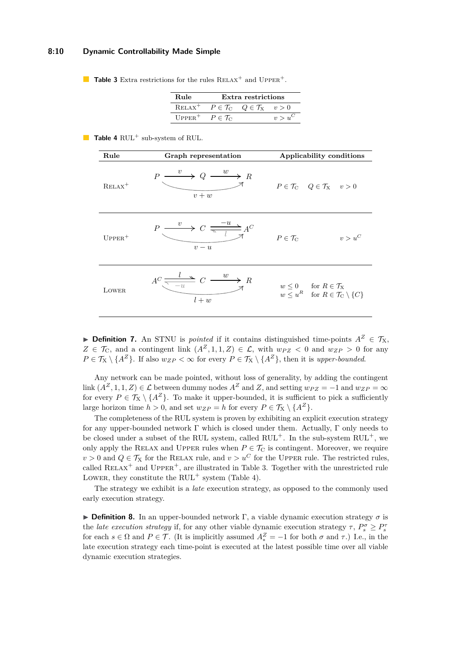### **8:10 Dynamic Controllability Made Simple**

<span id="page-9-0"></span>**Table 3** Extra restrictions for the rules  $RELAX^+$  and  $UPPER^+$ .

| Rule                                                                   | Extra restrictions |           |
|------------------------------------------------------------------------|--------------------|-----------|
| RELAX <sup>+</sup> $P \in \mathcal{T}_C$ $Q \in \mathcal{T}_X$ $v > 0$ |                    |           |
| UPPER <sup>+</sup> $P \in \mathcal{T}_C$                               |                    | $v > u^C$ |

<span id="page-9-1"></span>**Table 4** RUL<sup>+</sup> sub-system of RUL.

| Rule                 | Graph representation                                                                                                    | Applicability conditions                                                                       |
|----------------------|-------------------------------------------------------------------------------------------------------------------------|------------------------------------------------------------------------------------------------|
| $RELAX$ <sup>+</sup> | $\frac{w}{\longrightarrow} R$<br>$\rightarrow$ Q $\cdot$<br>$\boldsymbol{P}$<br><b>Service Communication</b><br>$v + w$ | $P \in \mathcal{T}_C$ $Q \in \mathcal{T}_X$ $v > 0$                                            |
| $UPPER^+$            | $\frac{v}{\sqrt{v^2 + 1}} C \frac{u}{\sqrt{v^2 + 1}} A^C$<br>$P_{-}$<br>$v-u$                                           | $v > u^C$<br>$P \in \mathcal{T}_C$                                                             |
| LOWER                | $A^C \xrightarrow{t \longrightarrow} C \xrightarrow{w} R$<br>$l + w$                                                    | $w \leq 0$ for $R \in \mathcal{T}_X$<br>$w \leq u^R$ for $R \in \mathcal{T}_C \setminus \{C\}$ |

**Definition 7.** An STNU is *pointed* if it contains distinguished time-points  $A^Z \in \mathcal{T}_X$ , *Z* ∈ *T*<sub>C</sub>, and a contingent link  $(A^Z, 1, 1, Z)$  ∈ *L*, with  $w_{PZ}$  < 0 and  $w_{ZP}$  > 0 for any  $P \in \mathcal{T}_X \setminus \{A^Z\}$ . If also  $w_{ZP} < \infty$  for every  $P \in \mathcal{T}_X \setminus \{A^Z\}$ , then it is *upper-bounded*.

Any network can be made pointed, without loss of generality, by adding the contingent link  $(A^Z, 1, 1, Z) \in \mathcal{L}$  between dummy nodes  $A^Z$  and  $Z$ , and setting  $w_{PZ} = -1$  and  $w_{ZP} = \infty$ for every  $P \in \mathcal{T}_X \setminus \{A^Z\}$ . To make it upper-bounded, it is sufficient to pick a sufficiently large horizon time  $h > 0$ , and set  $w_{ZP} = h$  for every  $P \in \mathcal{T}_X \setminus \{A^Z\}.$ 

The completeness of the RUL system is proven by exhibiting an explicit execution strategy for any upper-bounded network  $\Gamma$  which is closed under them. Actually,  $\Gamma$  only needs to be closed under a subset of the RUL system, called  $RUL^{+}$ . In the sub-system  $RUL^{+}$ , we only apply the RELAX and UPPER rules when  $P \in \mathcal{T}_{\mathcal{C}}$  is contingent. Moreover, we require  $v > 0$  and  $Q \in \mathcal{T}_X$  for the RELAX rule, and  $v > u^C$  for the UPPER rule. The restricted rules, called RELAX<sup>+</sup> and UPPER<sup>+</sup>, are illustrated in Table [3.](#page-9-0) Together with the unrestricted rule LOWER, they constitute the  $RUL^+$  system (Table [4\)](#page-9-1).

The strategy we exhibit is a *late* execution strategy, as opposed to the commonly used early execution strategy.

**Definition 8.** In an upper-bounded network Γ, a viable dynamic execution strategy  $\sigma$  is the *late execution strategy* if, for any other viable dynamic execution strategy  $\tau$ ,  $P_s^{\sigma} \geq P_s^{\tau}$ for each  $s \in \Omega$  and  $P \in \mathcal{T}$ . (It is implicitly assumed  $A_*^Z = -1$  for both  $\sigma$  and  $\tau$ .) I.e., in the late execution strategy each time-point is executed at the latest possible time over all viable dynamic execution strategies.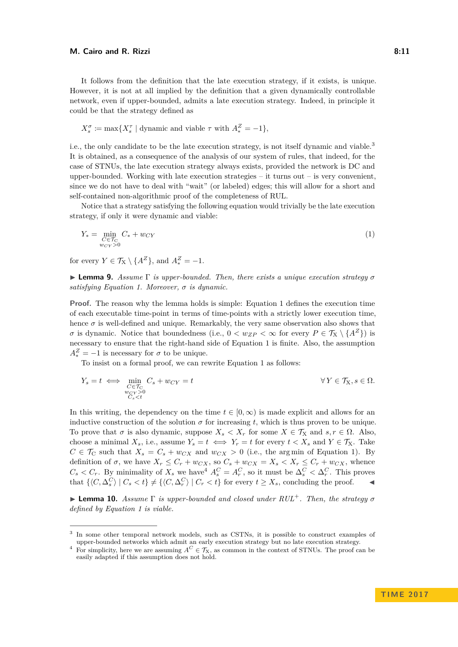#### **M. Cairo and R. Rizzi 8:11**

It follows from the definition that the late execution strategy, if it exists, is unique. However, it is not at all implied by the definition that a given dynamically controllable network, even if upper-bounded, admits a late execution strategy. Indeed, in principle it could be that the strategy defined as

$$
X_s^{\sigma} := \max\{X_s^{\tau} \mid \text{dynamic and viable } \tau \text{ with } A_*^Z = -1\},\
$$

i.e., the only candidate to be the late execution strategy, is not itself dynamic and viable.<sup>[3](#page-10-0)</sup> It is obtained, as a consequence of the analysis of our system of rules, that indeed, for the case of STNUs, the late execution strategy always exists, provided the network is DC and upper-bounded. Working with late execution strategies – it turns out – is very convenient, since we do not have to deal with "wait" (or labeled) edges; this will allow for a short and self-contained non-algorithmic proof of the completeness of RUL.

Notice that a strategy satisfying the following equation would trivially be the late execution strategy, if only it were dynamic and viable:

<span id="page-10-1"></span>
$$
Y_* = \min_{\substack{C \in \mathcal{T}_C \\ w_{CY} > 0}} C_* + w_{CY}
$$
 (1)

for every  $Y \in \mathcal{T}_X \setminus \{A^Z\}$ , and  $A_*^Z = -1$ .

<span id="page-10-4"></span>I **Lemma 9.** *Assume* Γ *is upper-bounded. Then, there exists a unique execution strategy σ satisfying Equation [1.](#page-10-1) Moreover, σ is dynamic.*

**Proof.** The reason why the lemma holds is simple: Equation [1](#page-10-1) defines the execution time of each executable time-point in terms of time-points with a strictly lower execution time, hence  $\sigma$  is well-defined and unique. Remarkably, the very same observation also shows that *σ* is dynamic. Notice that boundedness (i.e.,  $0 < w_{ZP} < \infty$  for every  $P \in \mathcal{T}_X \setminus \{A^Z\}$ ) is necessary to ensure that the right-hand side of Equation [1](#page-10-1) is finite. Also, the assumption  $A_*^Z = -1$  is necessary for  $\sigma$  to be unique.

To insist on a formal proof, we can rewrite Equation [1](#page-10-1) as follows:

$$
Y_s = t \iff \min_{\substack{C \in \mathcal{T}_C \\ w_{CY} > 0 \\ C_s < t}} C_s + w_{CY} = t \qquad \forall Y \in \mathcal{T}_X, s \in \Omega.
$$

In this writing, the dependency on the time  $t \in [0, \infty)$  is made explicit and allows for an inductive construction of the solution  $\sigma$  for increasing t, which is thus proven to be unique. To prove that  $\sigma$  is also dynamic, suppose  $X_s < X_r$  for some  $X \in \mathcal{T}_X$  and  $s, r \in \Omega$ . Also, choose a minimal  $X_s$ , i.e., assume  $Y_s = t \iff Y_r = t$  for every  $t < X_s$  and  $Y \in \mathcal{T}_X$ . Take  $C \in \mathcal{T}_C$  such that  $X_s = C_s + w_{CX}$  and  $w_{CX} > 0$  (i.e., the argmin of Equation [1\)](#page-10-1). By definition of *σ*, we have  $X_r \leq C_r + w_{CX}$ , so  $C_s + w_{CX} = X_s \lt X_r \leq C_r + w_{CX}$ , whence  $C_s < C_r$ . By minimality of  $X_s$  we have  $^4 A_s^C = A_r^C$  $^4 A_s^C = A_r^C$  $^4 A_s^C = A_r^C$ , so it must be  $\Delta_s^C < \Delta_r^C$ . This proves that  $\{\langle C, \Delta_s^C \rangle \mid C_s < t\}$  ≠  $\{\langle C, \Delta_r^C \rangle \mid C_r < t\}$  for every  $t \ge X_s$ , concluding the proof.  $\blacksquare$ 

<span id="page-10-3"></span>**I Lemma 10.** Assume  $\Gamma$  is upper-bounded and closed under  $RUL^+$ . Then, the strategy  $\sigma$ *defined by Equation [1](#page-10-1) is viable.*

<span id="page-10-0"></span><sup>&</sup>lt;sup>3</sup> In some other temporal network models, such as CSTNs, it is possible to construct examples of upper-bounded networks which admit an early execution strategy but no late execution strategy.

<span id="page-10-2"></span><sup>&</sup>lt;sup>4</sup> For simplicity, here we are assuming  $A^C \in \mathcal{T}_X$ , as common in the context of STNUs. The proof can be easily adapted if this assumption does not hold.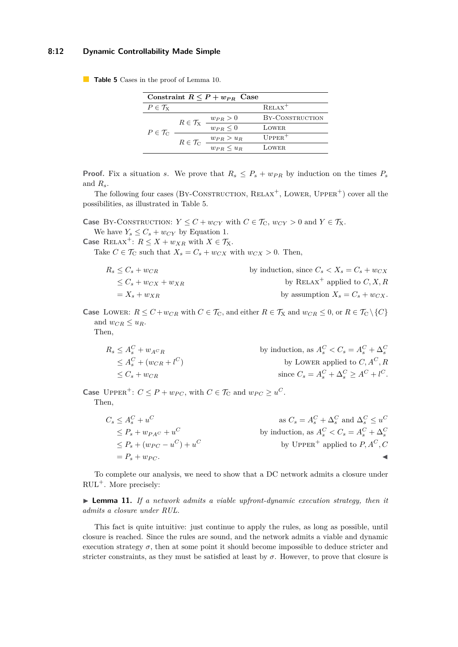#### **8:12 Dynamic Controllability Made Simple**

<span id="page-11-0"></span>**Table 5** Cases in the proof of Lemma [10.](#page-10-3)

| Constraint $R \leq P + w_{PR}$ Case |                                                           |                                        |                      |
|-------------------------------------|-----------------------------------------------------------|----------------------------------------|----------------------|
| $P \in \mathcal{T}_X$               |                                                           |                                        | $RELAX$ <sup>+</sup> |
| $P \in \mathcal{T}_{\Omega}$        | $R \in \mathcal{T}_{\mathbf{X}} \xrightarrow{w_{PR} > 0}$ |                                        | BY-CONSTRUCTION      |
|                                     |                                                           | $w_{PR} \leq 0$                        | LOWER                |
|                                     | $R \in \mathcal{T}_C$                                     |                                        | $UPPER^+$            |
|                                     |                                                           | $\frac{w_{PR} > u_R}{w_{PR} \leq u_R}$ | LOWER.               |

**Proof.** Fix a situation *s*. We prove that  $R_s \leq P_s + w_{PR}$  by induction on the times  $P_s$ and *Rs*.

The following four cases (BY-CONSTRUCTION,  $RELAX^+$ , LOWER, UPPER<sup>+</sup>) cover all the possibilities, as illustrated in Table [5.](#page-11-0)

**Case** BY-CONSTRUCTION:  $Y \leq C + w_{CY}$  with  $C \in \mathcal{T}_{C}$ ,  $w_{CY} > 0$  and  $Y \in \mathcal{T}_{X}$ .

We have  $Y_s \leq C_s + w_{CY}$  by Equation [1.](#page-10-1)

**Case** RELAX<sup>+</sup>:  $R \leq X + w_{XR}$  with  $X \in \mathcal{T}_X$ .

Take  $C \in \mathcal{T}_C$  such that  $X_s = C_s + w_{CX}$  with  $w_{CX} > 0$ . Then,

| $R_s \leq C_s + w_{CR}$      | by induction, since $C_s < X_s = C_s + w_{CX}$ |
|------------------------------|------------------------------------------------|
| $\leq C_s + w_{CX} + w_{XR}$ | by RELAX <sup>+</sup> applied to $C, X, R$     |
| $X_s + w_{XB}$               | by assumption $X_s = C_s + w_{CX}$ .           |

**Case** LOWER:  $R \leq C + w_{CR}$  with  $C \in \mathcal{T}_{\mathcal{C}}$ , and either  $R \in \mathcal{T}_{\mathcal{X}}$  and  $w_{CR} \leq 0$ , or  $R \in \mathcal{T}_{\mathcal{C}} \setminus \{C\}$ and  $w_{CR} \leq u_R$ .

Then,

$$
R_s \le A_s^C + w_{A^CR}
$$
  
\n
$$
\le A_s^C + (w_{CR} + l^C)
$$
  
\nby induction, as  $A_s^C < C_s = A_s^C + \Delta_s^C$   
\nby Lower applied to  $C, A^C, R$   
\n
$$
\le C_s + w_{CR}
$$
  
\n
$$
\le C_s + w_{CR}
$$

**Case** UPPER<sup>+</sup>:  $C \leq P + w_{PC}$ , with  $C \in \mathcal{T}_C$  and  $w_{PC} \geq u^C$ . Then,

$$
C_s \le A_s^C + u^C
$$
  
\n
$$
\le P_s + w_{P A^C} + u^C
$$
  
\n
$$
\le P_s + (w_{P C} - u^C) + u^C
$$
  
\n
$$
= P_s + w_{P C}.
$$
  
\n
$$
\le W_s + w_{P B^C} + w_{P C}^C
$$
  
\n
$$
= W_s + w_{P C}.
$$
  
\n
$$
\le W_s + w_{P B^C} + w_{P C}^C
$$
  
\n
$$
\le W_s + w_{P C}^C.
$$

To complete our analysis, we need to show that a DC network admits a closure under RUL<sup>+</sup>. More precisely:

<span id="page-11-1"></span>▶ Lemma 11. *If a network admits a viable upfront-dynamic execution strategy, then it admits a closure under RUL.*

This fact is quite intuitive: just continue to apply the rules, as long as possible, until closure is reached. Since the rules are sound, and the network admits a viable and dynamic execution strategy  $\sigma$ , then at some point it should become impossible to deduce stricter and stricter constraints, as they must be satisfied at least by  $\sigma$ . However, to prove that closure is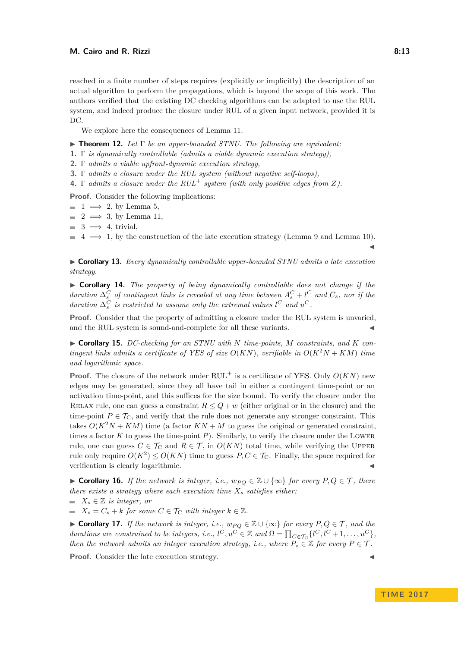reached in a finite number of steps requires (explicitly or implicitly) the description of an actual algorithm to perform the propagations, which is beyond the scope of this work. The authors verified that the existing DC checking algorithms can be adapted to use the RUL system, and indeed produce the closure under RUL of a given input network, provided it is DC.

We explore here the consequences of Lemma [11.](#page-11-1)

- **Figure 12.** *Let*  $\Gamma$  *be an upper-bounded STNU. The following are equivalent:*
- **1.** Γ *is dynamically controllable (admits a viable dynamic execution strategy),*
- **2.** Γ *admits a viable upfront-dynamic execution strategy,*
- **3.** Γ *admits a closure under the RUL system (without negative self-loops),*
- **4.** Γ *admits a closure under the RUL*<sup>+</sup> *system (with only positive edges from Z).*

**Proof.** Consider the following implications:

- $\implies$  2, by Lemma [5,](#page-7-2)
- $2 \implies 3$ , by Lemma [11,](#page-11-1)
- $\implies$  4, trivial,

 $4 \implies 1$ , by the construction of the late execution strategy (Lemma [9](#page-10-4) and Lemma [10\)](#page-10-3).

I **Corollary 13.** *Every dynamically controllable upper-bounded STNU admits a late execution strategy.*

I **Corollary 14.** *The property of being dynamically controllable does not change if the duration*  $\Delta_s^C$  *of contingent links is revealed at any time between*  $A_s^C + l^C$  *and*  $C_s$ *, nor if the duration*  $\Delta_s^C$  *is restricted to assume only the extremal values*  $l^C$  *and*  $u^C$ .

**Proof.** Consider that the property of admitting a closure under the RUL system is unvaried, and the RUL system is sound-and-complete for all these variants.

▶ Corollary 15. *DC-checking for an STNU with N time-points, M constraints, and K contingent links admits a certificate of YES of size*  $O(KN)$ *, verifiable in*  $O(K^2N + KM)$  *time and logarithmic space.*

**Proof.** The closure of the network under RUL<sup>+</sup> is a certificate of YES. Only *O*(*KN*) new edges may be generated, since they all have tail in either a contingent time-point or an activation time-point, and this suffices for the size bound. To verify the closure under the RELAX rule, one can guess a constraint  $R \leq Q + w$  (either original or in the closure) and the time-point  $P \in \mathcal{T}_C$ , and verify that the rule does not generate any stronger constraint. This takes  $O(K^2N + KM)$  time (a factor  $KN + M$  to guess the original or generated constraint, times a factor  $K$  to guess the time-point  $P$ ). Similarly, to verify the closure under the LOWER rule, one can guess  $C \in \mathcal{T}_C$  and  $R \in \mathcal{T}$ , in  $O(KN)$  total time, while verifying the UPPER rule only require  $O(K^2) \leq O(KN)$  time to guess  $P, C \in \mathcal{T}_{\mathcal{C}}$ . Finally, the space required for verification is clearly logarithmic.

▶ **Corollary 16.** *If the network is integer, i.e.,*  $w_{PQ} \in \mathbb{Z} \cup \{\infty\}$  *for every*  $P, Q \in \mathcal{T}$ *, there there exists a strategy where each execution time X<sup>s</sup> satisfies either:*

$$
\blacksquare \quad X_s \in \mathbb{Z} \, \text{ is integer, or}
$$

 $X_s = C_s + k$  *for some*  $C \in \mathcal{T}_C$  *with integer*  $k \in \mathbb{Z}$ *.* 

► **Corollary 17.** *If the network is integer, i.e.,*  $w_{PQ} \in \mathbb{Z} \cup \{\infty\}$  *for every*  $P, Q \in \mathcal{T}$ *, and the durations are constrained to be integers, i.e.,*  $l^C, u^C \in \mathbb{Z}$  and  $\Omega = \prod_{C \in \mathcal{T}_C} \{l^C, l^C + 1, \ldots, u^C\},$ *then the network admits an integer execution strategy, i.e., where*  $P_* \in \mathbb{Z}$  *for every*  $P \in \mathcal{T}$ *.* 

Proof. Consider the late execution strategy.

 $\blacktriangleleft$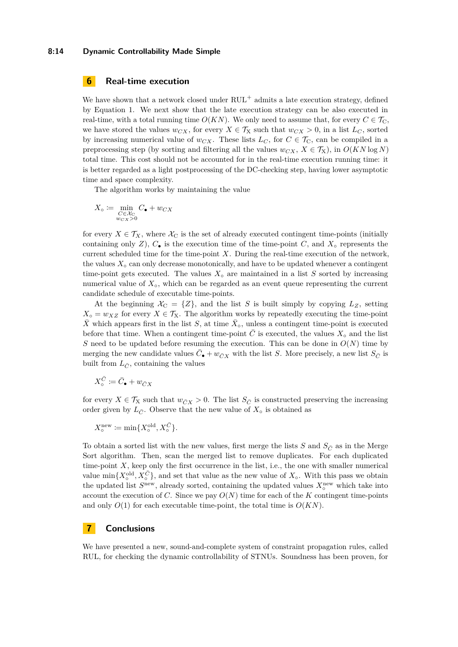#### **8:14 Dynamic Controllability Made Simple**

## <span id="page-13-0"></span>**6 Real-time execution**

We have shown that a network closed under  $RUL^+$  admits a late execution strategy, defined by Equation [1.](#page-10-1) We next show that the late execution strategy can be also executed in real-time, with a total running time  $O(KN)$ . We only need to assume that, for every  $C \in \mathcal{T}_{C}$ , we have stored the values  $w_{CX}$ , for every  $X \in \mathcal{T}_X$  such that  $w_{CX} > 0$ , in a list  $L_C$ , sorted by increasing numerical value of  $w_{CX}$ . These lists  $L_C$ , for  $C \in \mathcal{T}_C$ , can be compiled in a preprocessing step (by sorting and filtering all the values  $w_{CX}$ ,  $X \in \mathcal{T}_X$ ), in  $O(KN \log N)$ total time. This cost should not be accounted for in the real-time execution running time: it is better regarded as a light postprocessing of the DC-checking step, having lower asymptotic time and space complexity.

The algorithm works by maintaining the value

$$
X_{\circ} := \min_{\substack{C \in \mathcal{X}_{\mathcal{C}} \\ w_{C X} > 0}} C_{\bullet} + w_{C X}
$$

for every  $X \in \mathcal{T}_X$ , where  $\mathcal{X}_C$  is the set of already executed contingent time-points (initially containing only *Z*),  $C_{\bullet}$  is the execution time of the time-point  $C$ , and  $X_{\circ}$  represents the current scheduled time for the time-point *X*. During the real-time execution of the network, the values  $X<sub>°</sub>$  can only decrease monotonically, and have to be updated whenever a contingent time-point gets executed. The values  $X_{\circ}$  are maintained in a list  $S$  sorted by increasing numerical value of  $X_{\circ}$ , which can be regarded as an event queue representing the current candidate schedule of executable time-points.

At the beginning  $\mathcal{X}_{C} = \{Z\}$ , and the list *S* is built simply by copying  $L_Z$ , setting  $X_{\circ} = w_{XZ}$  for every  $X \in \mathcal{T}_X$ . The algorithm works by repeatedly executing the time-point  $\bar{X}$  which appears first in the list *S*, at time  $\bar{X}_0$ , unless a contingent time-point is executed before that time. When a contingent time-point  $\overline{C}$  is executed, the values  $X_{\circ}$  and the list *S* need to be updated before resuming the execution. This can be done in  $O(N)$  time by merging the new candidate values  $\bar{C}_{\bullet} + w_{\bar{C}X}$  with the list *S*. More precisely, a new list  $S_{\bar{C}}$  is built from  $L_{\bar{C}}$ , containing the values

$$
X^{\bar{C}}_\circ := \bar{C}_\bullet + w_{\bar{C}X}
$$

for every  $X \in \mathcal{T}_X$  such that  $w_{\bar{C}X} > 0$ . The list  $S_{\bar{C}}$  is constructed preserving the increasing order given by  $L_{\overline{C}}$ . Observe that the new value of  $X_{\circ}$  is obtained as

$$
X_\circ^{\rm new} \coloneqq \min\{X_\circ^{\rm old}, X_\circ^{\bar C}\}.
$$

To obtain a sorted list with the new values, first merge the lists *S* and  $S_{\tilde{C}}$  as in the Merge Sort algorithm. Then, scan the merged list to remove duplicates. For each duplicated time-point *X*, keep only the first occurrence in the list, i.e., the one with smaller numerical value  $\min\{X_o^{\text{old}}, X_o^{\overline{C}}\}$ , and set that value as the new value of  $X_o$ . With this pass we obtain the updated list  $S<sup>new</sup>$ , already sorted, containing the updated values  $X<sub>o</sub><sup>new</sup>$  which take into account the execution of *C*. Since we pay  $O(N)$  time for each of the *K* contingent time-points and only  $O(1)$  for each executable time-point, the total time is  $O(KN)$ .

## **7 Conclusions**

We have presented a new, sound-and-complete system of constraint propagation rules, called RUL, for checking the dynamic controllability of STNUs. Soundness has been proven, for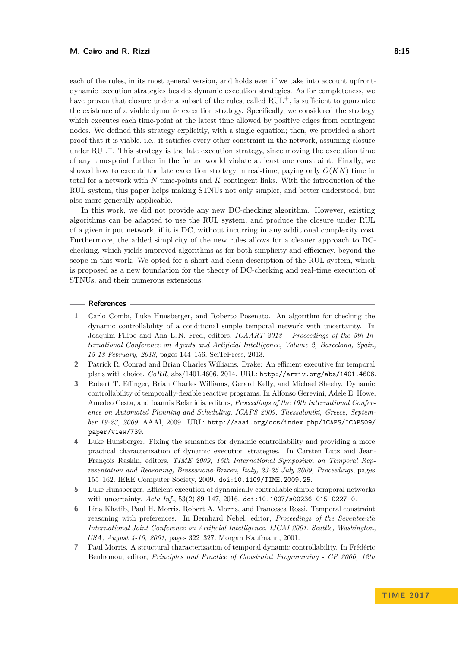each of the rules, in its most general version, and holds even if we take into account upfrontdynamic execution strategies besides dynamic execution strategies. As for completeness, we have proven that closure under a subset of the rules, called  $\text{RUL}^+$ , is sufficient to guarantee the existence of a viable dynamic execution strategy. Specifically, we considered the strategy which executes each time-point at the latest time allowed by positive edges from contingent nodes. We defined this strategy explicitly, with a single equation; then, we provided a short proof that it is viable, i.e., it satisfies every other constraint in the network, assuming closure under  $\text{RUL}^+$ . This strategy is the late execution strategy, since moving the execution time of any time-point further in the future would violate at least one constraint. Finally, we showed how to execute the late execution strategy in real-time, paying only  $O(KN)$  time in total for a network with *N* time-points and *K* contingent links. With the introduction of the RUL system, this paper helps making STNUs not only simpler, and better understood, but also more generally applicable.

In this work, we did not provide any new DC-checking algorithm. However, existing algorithms can be adapted to use the RUL system, and produce the closure under RUL of a given input network, if it is DC, without incurring in any additional complexity cost. Furthermore, the added simplicity of the new rules allows for a cleaner approach to DCchecking, which yields improved algorithms as for both simplicity and efficiency, beyond the scope in this work. We opted for a short and clean description of the RUL system, which is proposed as a new foundation for the theory of DC-checking and real-time execution of STNUs, and their numerous extensions.

#### **References**

- <span id="page-14-5"></span>**1** Carlo Combi, Luke Hunsberger, and Roberto Posenato. An algorithm for checking the dynamic controllability of a conditional simple temporal network with uncertainty. In Joaquim Filipe and Ana L. N. Fred, editors, *ICAART 2013 – Proceedings of the 5th International Conference on Agents and Artificial Intelligence, Volume 2, Barcelona, Spain, 15-18 February, 2013*, pages 144–156. SciTePress, 2013.
- <span id="page-14-3"></span>**2** Patrick R. Conrad and Brian Charles Williams. Drake: An efficient executive for temporal plans with choice. *CoRR*, abs/1401.4606, 2014. URL: <http://arxiv.org/abs/1401.4606>.
- <span id="page-14-4"></span>**3** Robert T. Effinger, Brian Charles Williams, Gerard Kelly, and Michael Sheehy. Dynamic controllability of temporally-flexible reactive programs. In Alfonso Gerevini, Adele E. Howe, Amedeo Cesta, and Ioannis Refanidis, editors, *Proceedings of the 19th International Conference on Automated Planning and Scheduling, ICAPS 2009, Thessaloniki, Greece, September 19-23, 2009*. AAAI, 2009. URL: [http://aaai.org/ocs/index.php/ICAPS/ICAPS09/](http://aaai.org/ocs/index.php/ICAPS/ICAPS09/paper/view/739) [paper/view/739](http://aaai.org/ocs/index.php/ICAPS/ICAPS09/paper/view/739).
- <span id="page-14-6"></span>**4** Luke Hunsberger. Fixing the semantics for dynamic controllability and providing a more practical characterization of dynamic execution strategies. In Carsten Lutz and Jean-François Raskin, editors, *TIME 2009, 16th International Symposium on Temporal Representation and Reasoning, Bressanone-Brixen, Italy, 23-25 July 2009, Proceedings*, pages 155–162. IEEE Computer Society, 2009. [doi:10.1109/TIME.2009.25](http://dx.doi.org/10.1109/TIME.2009.25).
- <span id="page-14-1"></span>**5** Luke Hunsberger. Efficient execution of dynamically controllable simple temporal networks with uncertainty. *Acta Inf.*, 53(2):89–147, 2016. [doi:10.1007/s00236-015-0227-0](http://dx.doi.org/10.1007/s00236-015-0227-0).
- <span id="page-14-2"></span>**6** Lina Khatib, Paul H. Morris, Robert A. Morris, and Francesca Rossi. Temporal constraint reasoning with preferences. In Bernhard Nebel, editor, *Proceedings of the Seventeenth International Joint Conference on Artificial Intelligence, IJCAI 2001, Seattle, Washington, USA, August 4-10, 2001*, pages 322–327. Morgan Kaufmann, 2001.
- <span id="page-14-0"></span>**7** Paul Morris. A structural characterization of temporal dynamic controllability. In Frédéric Benhamou, editor, *Principles and Practice of Constraint Programming - CP 2006, 12th*